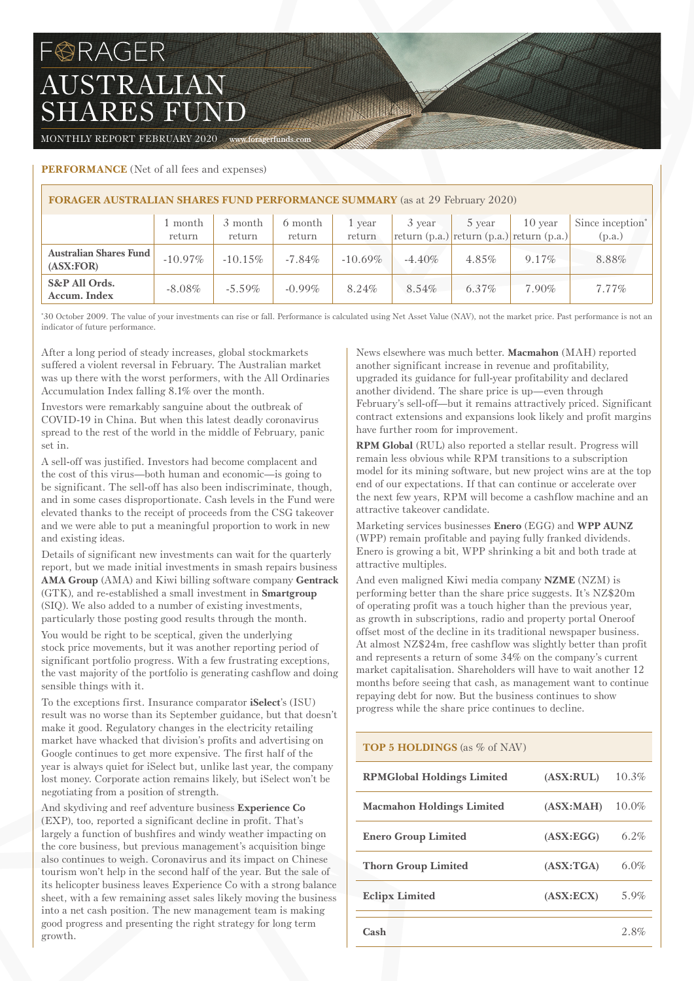# **BRAGER** AUSTRALIAN SHARES FUND

MONTHLY REPORT FEBRUARY 2020 www.foragerfunds.com

# **PERFORMANCE** (Net of all fees and expenses)

| <b>FORAGER AUSTRALIAN SHARES FUND PERFORMANCE SUMMARY</b> (as at 29 February 2020) |            |            |           |            |           |          |                                                 |                              |  |
|------------------------------------------------------------------------------------|------------|------------|-----------|------------|-----------|----------|-------------------------------------------------|------------------------------|--|
|                                                                                    | 1 month    | 3 month    | 6 month   | l vear     | 3 year    | 5 year   | 10 year                                         | Since inception <sup>*</sup> |  |
|                                                                                    | return     | return     | return    | return     |           |          | return $(p.a.)$ return $(p.a.)$ return $(p.a.)$ | (p.a.)                       |  |
| <b>Australian Shares Fund</b><br>(ASK:FOR)                                         | $-10.97\%$ | $-10.15\%$ | $-7.84\%$ | $-10.69\%$ | $-4.40\%$ | 4.85%    | $9.17\%$                                        | 8.88%                        |  |
| S&P All Ords.<br>Accum. Index                                                      | $-8.08\%$  | $-5.59\%$  | $-0.99\%$ | 8.24%      | 8.54%     | $6.37\%$ | $7.90\%$                                        | $7.77\%$                     |  |

William William

\* 30 October 2009. The value of your investments can rise or fall. Performance is calculated using Net Asset Value (NAV), not the market price. Past performance is not an indicator of future performance.

After a long period of steady increases, global stockmarkets suffered a violent reversal in February. The Australian market was up there with the worst performers, with the All Ordinaries Accumulation Index falling 8.1% over the month.

Investors were remarkably sanguine about the outbreak of COVID-19 in China. But when this latest deadly coronavirus spread to the rest of the world in the middle of February, panic set in.

A sell-off was justified. Investors had become complacent and the cost of this virus—both human and economic—is going to be significant. The sell-off has also been indiscriminate, though, and in some cases disproportionate. Cash levels in the Fund were elevated thanks to the receipt of proceeds from the CSG takeover and we were able to put a meaningful proportion to work in new and existing ideas.

Details of significant new investments can wait for the quarterly report, but we made initial investments in smash repairs business **AMA Group** (AMA) and Kiwi billing software company **Gentrack** (GTK), and re-established a small investment in **Smartgroup** (SIQ). We also added to a number of existing investments, particularly those posting good results through the month.

You would be right to be sceptical, given the underlying stock price movements, but it was another reporting period of significant portfolio progress. With a few frustrating exceptions, the vast majority of the portfolio is generating cashflow and doing sensible things with it.

To the exceptions first. Insurance comparator **iSelect**'s (ISU) result was no worse than its September guidance, but that doesn't make it good. Regulatory changes in the electricity retailing market have whacked that division's profits and advertising on Google continues to get more expensive. The first half of the year is always quiet for iSelect but, unlike last year, the company lost money. Corporate action remains likely, but iSelect won't be negotiating from a position of strength.

And skydiving and reef adventure business **Experience Co** (EXP), too, reported a significant decline in profit. That's largely a function of bushfires and windy weather impacting on the core business, but previous management's acquisition binge also continues to weigh. Coronavirus and its impact on Chinese tourism won't help in the second half of the year. But the sale of its helicopter business leaves Experience Co with a strong balance sheet, with a few remaining asset sales likely moving the business into a net cash position. The new management team is making good progress and presenting the right strategy for long term growth.

News elsewhere was much better. **Macmahon** (MAH) reported another significant increase in revenue and profitability, upgraded its guidance for full-year profitability and declared another dividend. The share price is up—even through February's sell-off—but it remains attractively priced. Significant contract extensions and expansions look likely and profit margins have further room for improvement.

**RPM Global** (RUL) also reported a stellar result. Progress will remain less obvious while RPM transitions to a subscription model for its mining software, but new project wins are at the top end of our expectations. If that can continue or accelerate over the next few years, RPM will become a cashflow machine and an attractive takeover candidate.

Marketing services businesses **Enero** (EGG) and **WPP AUNZ** (WPP) remain profitable and paying fully franked dividends. Enero is growing a bit, WPP shrinking a bit and both trade at attractive multiples.

And even maligned Kiwi media company **NZME** (NZM) is performing better than the share price suggests. It's NZ\$20m of operating profit was a touch higher than the previous year, as growth in subscriptions, radio and property portal Oneroof offset most of the decline in its traditional newspaper business. At almost NZ\$24m, free cashflow was slightly better than profit and represents a return of some 34% on the company's current market capitalisation. Shareholders will have to wait another 12 months before seeing that cash, as management want to continue repaying debt for now. But the business continues to show progress while the share price continues to decline.

## **TOP 5 HOLDINGS** (as % of NAV)

| <b>RPMGlobal Holdings Limited</b> | (ASK: RULE) | 10.3%    |
|-----------------------------------|-------------|----------|
| <b>Macmahon Holdings Limited</b>  | (ASK:MAH)   | $10.0\%$ |
| <b>Enero Group Limited</b>        | (ASK:EGG)   | $6.2\%$  |
| <b>Thorn Group Limited</b>        | (ASK: TGA)  | 6.0%     |
| <b>Eclipx Limited</b>             | (ASK:ECX)   | 5.9%     |
| Cash                              |             | 2.8%     |